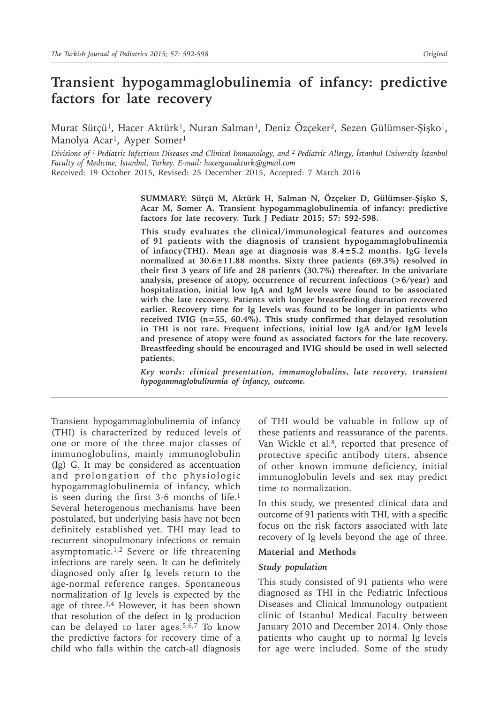# **Transient hypogammaglobulinemia of infancy: predictive factors for late recovery**

Murat Sütçü<sup>1</sup>, Hacer Aktürk<sup>1</sup>, Nuran Salman<sup>1</sup>, Deniz Özçeker<sup>2</sup>, Sezen Gülümser-Şişko<sup>1</sup>, Manolya Acar<sup>1</sup>, Ayper Somer<sup>1</sup>

*Divisions of <sup>1</sup>Pediatric Infectious Diseases and Clinical Immunology, and <sup>2</sup> Pediatric Allergy, İstanbul University İstanbul Faculty of Medicine, İstanbul, Turkey. E-mail: hacergunakturk@gmail.com*

Received: 19 October 2015, Revised: 25 December 2015, Accepted: 7 March 2016

**SUMMARY: Sütçü M, Aktürk H, Salman N, Özçeker D, Gülümser-Şişko S, Acar M, Somer A. Transient hypogammaglobulinemia of infancy: predictive factors for late recovery. Turk J Pediatr 2015; 57: 592-598.**

**This study evaluates the clinical/immunological features and outcomes of 91 patients with the diagnosis of transient hypogammaglobulinemia of infancy(THI). Mean age at diagnosis was 8.4±5.2 months. IgG levels normalized at 30.6±11.88 months. Sixty three patients (69.3%) resolved in their first 3 years of life and 28 patients (30.7%) thereafter. In the univariate analysis, presence of atopy, occurrence of recurrent infections (>6/year) and hospitalization, initial low IgA and IgM levels were found to be associated with the late recovery. Patients with longer breastfeeding duration recovered earlier. Recovery time for Ig levels was found to be longer in patients who received IVIG (n=55, 60.4%). This study confirmed that delayed resolution in THI is not rare. Frequent infections, initial low IgA and/or IgM levels and presence of atopy were found as associated factors for the late recovery. Breastfeeding should be encouraged and IVIG should be used in well selected patients.**

*Key words: clinical presentation, immunoglobulins, late recovery, transient hypogammaglobulinemia of infancy, outcome.*

Transient hypogammaglobulinemia of infancy (THI) is characterized by reduced levels of one or more of the three major classes of immunoglobulins, mainly immunoglobulin (Ig) G. It may be considered as accentuation and prolongation of the physiologic hypogammaglobulinemia of infancy, which is seen during the first 3-6 months of life.<sup>1</sup> Several heterogenous mechanisms have been postulated, but underlying basis have not been definitely established yet. THI may lead to recurrent sinopulmonary infections or remain asymptomatic.<sup>1,2</sup> Severe or life threatening infections are rarely seen. It can be definitely diagnosed only after Ig levels return to the age-normal reference ranges. Spontaneous normalization of Ig levels is expected by the age of three. $3,4$  However, it has been shown that resolution of the defect in Ig production can be delayed to later ages.<sup>5,6,7</sup> To know the predictive factors for recovery time of a child who falls within the catch-all diagnosis

of THI would be valuable in follow up of these patients and reassurance of the parents. Van Wickle et al.<sup>8</sup>, reported that presence of protective specific antibody titers, absence of other known immune deficiency, initial immunoglobulin levels and sex may predict time to normalization.

In this study, we presented clinical data and outcome of 91 patients with THI, with a specific focus on the risk factors associated with late recovery of Ig levels beyond the age of three.

#### **Material and Methods**

#### *Study population*

This study consisted of 91 patients who were diagnosed as THI in the Pediatric Infectious Diseases and Clinical Immunology outpatient clinic of Istanbul Medical Faculty between January 2010 and December 2014. Only those patients who caught up to normal Ig levels for age were included. Some of the study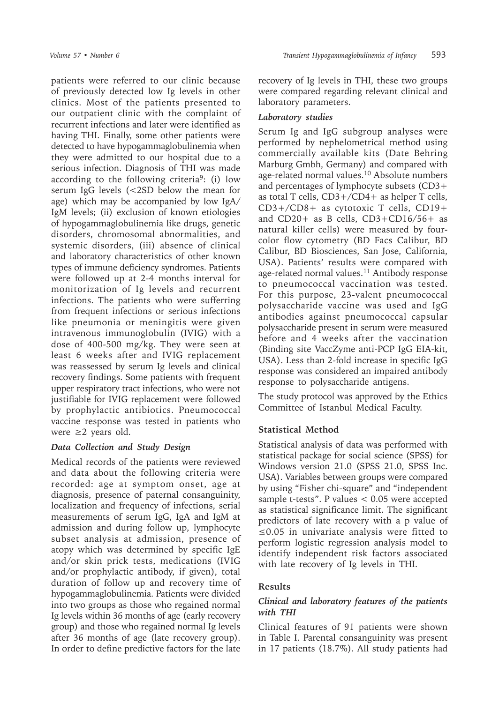patients were referred to our clinic because of previously detected low Ig levels in other clinics. Most of the patients presented to our outpatient clinic with the complaint of recurrent infections and later were identified as having THI. Finally, some other patients were detected to have hypogammaglobulinemia when they were admitted to our hospital due to a serious infection. Diagnosis of THI was made according to the following criteria<sup>9</sup>: (i) low serum IgG levels (<2SD below the mean for age) which may be accompanied by low IgA/ IgM levels; (ii) exclusion of known etiologies of hypogammaglobulinemia like drugs, genetic disorders, chromosomal abnormalities, and systemic disorders, (iii) absence of clinical and laboratory characteristics of other known types of immune deficiency syndromes. Patients were followed up at 2-4 months interval for monitorization of Ig levels and recurrent infections. The patients who were sufferring from frequent infections or serious infections like pneumonia or meningitis were given intravenous immunoglobulin (IVIG) with a dose of 400-500 mg/kg. They were seen at least 6 weeks after and IVIG replacement was reassessed by serum Ig levels and clinical recovery findings. Some patients with frequent upper respiratory tract infections, who were not justifiable for IVIG replacement were followed by prophylactic antibiotics. Pneumococcal vaccine response was tested in patients who were  $\geq 2$  years old.

# *Data Collection and Study Design*

Medical records of the patients were reviewed and data about the following criteria were recorded: age at symptom onset, age at diagnosis, presence of paternal consanguinity, localization and frequency of infections, serial measurements of serum IgG, IgA and IgM at admission and during follow up, lymphocyte subset analysis at admission, presence of atopy which was determined by specific IgE and/or skin prick tests, medications (IVIG and/or prophylactic antibody, if given), total duration of follow up and recovery time of hypogammaglobulinemia. Patients were divided into two groups as those who regained normal Ig levels within 36 months of age (early recovery group) and those who regained normal Ig levels after 36 months of age (late recovery group). In order to define predictive factors for the late

recovery of Ig levels in THI, these two groups were compared regarding relevant clinical and laboratory parameters.

### *Laboratory studies*

Serum Ig and IgG subgroup analyses were performed by nephelometrical method using commercially available kits (Date Behring Marburg Gmbh, Germany) and compared with age-related normal values.10 Absolute numbers and percentages of lymphocyte subsets (CD3+ as total T cells, CD3+/CD4+ as helper T cells, CD3+/CD8+ as cytotoxic T cells, CD19+ and CD20+ as B cells, CD3+CD16/56+ as natural killer cells) were measured by fourcolor flow cytometry (BD Facs Calibur, BD Calibur, BD Biosciences, San Jose, California, USA). Patients' results were compared with age-related normal values.<sup>11</sup> Antibody response to pneumococcal vaccination was tested. For this purpose, 23-valent pneumococcal polysaccharide vaccine was used and IgG antibodies against pneumococcal capsular polysaccharide present in serum were measured before and 4 weeks after the vaccination (Binding site VaccZyme anti-PCP IgG EIA-kit, USA). Less than 2-fold increase in specific IgG response was considered an impaired antibody response to polysaccharide antigens.

The study protocol was approved by the Ethics Committee of Istanbul Medical Faculty.

# **Statistical Method**

Statistical analysis of data was performed with statistical package for social science (SPSS) for Windows version 21.0 (SPSS 21.0, SPSS Inc. USA). Variables between groups were compared by using "Fisher chi-square" and "independent sample t-tests". P values < 0.05 were accepted as statistical significance limit. The significant predictors of late recovery with a p value of ≤0.05 in univariate analysis were fitted to perform logistic regression analysis model to identify independent risk factors associated with late recovery of Ig levels in THI.

# **Results**

### *Clinical and laboratory features of the patients with THI*

Clinical features of 91 patients were shown in Table I. Parental consanguinity was present in 17 patients (18.7%). All study patients had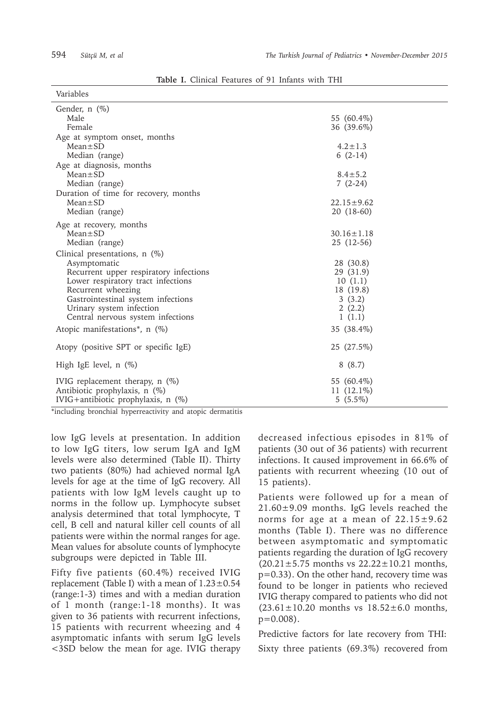| Variables                                                                                                                                                                                                                                                    |                                                                                                          |
|--------------------------------------------------------------------------------------------------------------------------------------------------------------------------------------------------------------------------------------------------------------|----------------------------------------------------------------------------------------------------------|
| Gender, $n$ $(\%)$<br>Male                                                                                                                                                                                                                                   | 55 (60.4%)                                                                                               |
| Female<br>Age at symptom onset, months<br>$Mean \pm SD$<br>Median (range)<br>Age at diagnosis, months<br>$Mean \pm SD$<br>Median (range)<br>Duration of time for recovery, months<br>$Mean \pm SD$<br>Median (range)                                         | 36 (39.6%)<br>$4.2 \pm 1.3$<br>$6(2-14)$<br>$8.4 \pm 5.2$<br>$7(2-24)$<br>$22.15 \pm 9.62$<br>20 (18-60) |
| Age at recovery, months<br>$Mean \pm SD$<br>Median (range)                                                                                                                                                                                                   | $30.16 \pm 1.18$<br>25 (12-56)                                                                           |
| Clinical presentations, $n$ (%)<br>Asymptomatic<br>Recurrent upper respiratory infections<br>Lower respiratory tract infections<br>Recurrent wheezing<br>Gastrointestinal system infections<br>Urinary system infection<br>Central nervous system infections | 28 (30.8)<br>29 (31.9)<br>10(1.1)<br>18 (19.8)<br>3(3.2)<br>2(2.2)<br>1(1.1)                             |
| Atopic manifestations <sup>*</sup> , n $(\%)$                                                                                                                                                                                                                | 35 (38.4%)                                                                                               |
| Atopy (positive SPT or specific IgE)                                                                                                                                                                                                                         | 25 (27.5%)                                                                                               |
| High IgE level, $n$ $(\%)$                                                                                                                                                                                                                                   | 8(8.7)                                                                                                   |
| IVIG replacement therapy, $n$ (%)<br>Antibiotic prophylaxis, n (%)<br>IVIG+antibiotic prophylaxis, $n$ (%)                                                                                                                                                   | 55 (60.4%)<br>11 $(12.1\%)$<br>$5(5.5\%)$                                                                |

**Table I.** Clinical Features of 91 Infants with THI

\*including bronchial hyperreactivity and atopic dermatitis

low IgG levels at presentation. In addition to low IgG titers, low serum IgA and IgM levels were also determined (Table II). Thirty two patients (80%) had achieved normal IgA levels for age at the time of IgG recovery. All patients with low IgM levels caught up to norms in the follow up. Lymphocyte subset analysis determined that total lymphocyte, T cell, B cell and natural killer cell counts of all patients were within the normal ranges for age. Mean values for absolute counts of lymphocyte subgroups were depicted in Table III.

Fifty five patients (60.4%) received IVIG replacement (Table I) with a mean of  $1.23\pm0.54$ (range:1-3) times and with a median duration of 1 month (range:1-18 months). It was given to 36 patients with recurrent infections, 15 patients with recurrent wheezing and 4 asymptomatic infants with serum IgG levels <3SD below the mean for age. IVIG therapy decreased infectious episodes in 81% of patients (30 out of 36 patients) with recurrent infections. It caused improvement in 66.6% of patients with recurrent wheezing (10 out of 15 patients).

Patients were followed up for a mean of 21.60±9.09 months. IgG levels reached the norms for age at a mean of  $22.15\pm9.62$ months (Table I). There was no difference between asymptomatic and symptomatic patients regarding the duration of IgG recovery  $(20.21 \pm 5.75$  months vs  $22.22 \pm 10.21$  months, p=0.33). On the other hand, recovery time was found to be longer in patients who recieved IVIG therapy compared to patients who did not  $(23.61 \pm 10.20$  months vs  $18.52 \pm 6.0$  months,  $p=0.008$ ).

Predictive factors for late recovery from THI: Sixty three patients (69.3%) recovered from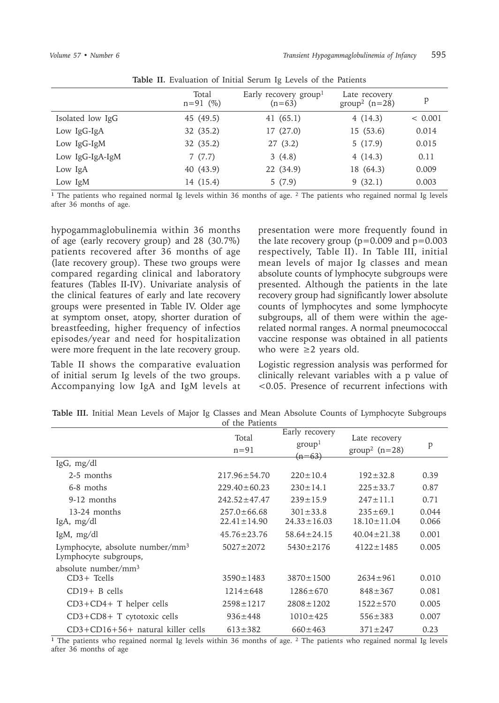|                  | Total<br>$n = 91$ (%) | Early recovery group <sup>1</sup><br>$(n=63)$ | Late recovery<br>group <sup>2</sup> $(n=28)$ | p       |
|------------------|-----------------------|-----------------------------------------------|----------------------------------------------|---------|
| Isolated low IgG | 45 (49.5)             | 41 $(65.1)$                                   | 4(14.3)                                      | < 0.001 |
| Low IgG-IgA      | 32(35.2)              | 17 (27.0)                                     | 15(53.6)                                     | 0.014   |
| Low IgG-IgM      | 32 (35.2)             | 27(3.2)                                       | 5(17.9)                                      | 0.015   |
| Low IgG-IgA-IgM  | 7(7.7)                | 3(4.8)                                        | 4(14.3)                                      | 0.11    |
| Low IgA          | 40 (43.9)             | 22 (34.9)                                     | 18 (64.3)                                    | 0.009   |
| Low IgM          | 14 (15.4)             | 5(7.9)                                        | 9(32.1)                                      | 0.003   |

**Table II.** Evaluation of Initial Serum Ig Levels of the Patients

**<sup>1</sup>** The patients who regained normal Ig levels within 36 months of age. 2 The patients who regained normal Ig levels after 36 months of age.

hypogammaglobulinemia within 36 months of age (early recovery group) and 28 (30.7%) patients recovered after 36 months of age (late recovery group). These two groups were compared regarding clinical and laboratory features (Tables II-IV). Univariate analysis of the clinical features of early and late recovery groups were presented in Table IV. Older age at symptom onset, atopy, shorter duration of breastfeeding, higher frequency of infectios episodes/year and need for hospitalization were more frequent in the late recovery group.

Table II shows the comparative evaluation of initial serum Ig levels of the two groups. Accompanying low IgA and IgM levels at presentation were more frequently found in the late recovery group ( $p=0.009$  and  $p=0.003$ respectively, Table II). In Table III, initial mean levels of major Ig classes and mean absolute counts of lymphocyte subgroups were presented. Although the patients in the late recovery group had significantly lower absolute counts of lymphocytes and some lymphocyte subgroups, all of them were within the agerelated normal ranges. A normal pneumococcal vaccine response was obtained in all patients who were  $\geq 2$  years old.

Logistic regression analysis was performed for clinically relevant variables with a p value of <0.05. Presence of recurrent infections with

|                                                                      | Total<br>$n=91$                        | Early recovery<br>group <sup>1</sup><br>$(n=63)$ | Late recovery<br>group <sup>2</sup> $(n=28)$ | P              |
|----------------------------------------------------------------------|----------------------------------------|--------------------------------------------------|----------------------------------------------|----------------|
| $\lg G$ , mg/dl                                                      |                                        |                                                  |                                              |                |
| 2-5 months                                                           | $217.96 \pm 54.70$                     | $220 \pm 10.4$                                   | $192 \pm 32.8$                               | 0.39           |
| 6-8 moths                                                            | $229.40 \pm 60.23$                     | $230 \pm 14.1$                                   | $225 \pm 33.7$                               | 0.87           |
| 9-12 months                                                          | $242.52 \pm 47.47$                     | $239 \pm 15.9$                                   | $247 \pm 11.1$                               | 0.71           |
| 13-24 months<br>IgA, mg/dl                                           | $257.0 \pm 66.68$<br>$22.41 \pm 14.90$ | $301 \pm 33.8$<br>$24.33 \pm 16.03$              | $235 \pm 69.1$<br>$18.10 \pm 11.04$          | 0.044<br>0.066 |
| IgM, $mg/dl$                                                         | $45.76 \pm 23.76$                      | $58.64 \pm 24.15$                                | $40.04 \pm 21.38$                            | 0.001          |
| Lymphocyte, absolute number/mm <sup>3</sup><br>Lymphocyte subgroups, | $5027 \pm 2072$                        | $5430 \pm 2176$                                  | $4122 \pm 1485$                              | 0.005          |
| absolute number/ $mm3$                                               |                                        |                                                  |                                              |                |
| $CD3+$ Tcells                                                        | $3590 \pm 1483$                        | $3870 \pm 1500$                                  | $2634 \pm 961$                               | 0.010          |
| $CD19+ B$ cells                                                      | $1214 \pm 648$                         | $1286 \pm 670$                                   | $848 \pm 367$                                | 0.081          |
| $CD3 + CD4 + T$ helper cells                                         | $2598 \pm 1217$                        | $2808 \pm 1202$                                  | $1522 \pm 570$                               | 0.005          |
| $CD3 + CD8 + T$ cytotoxic cells                                      | $936 \pm 448$                          | $1010 \pm 425$                                   | $556 \pm 383$                                | 0.007          |
| $CD3 + CD16 + 56 +$ natural killer cells                             | $613 \pm 382$                          | $660 \pm 463$                                    | $371 \pm 247$                                | 0.23           |

**Table III.** Initial Mean Levels of Major Ig Classes and Mean Absolute Counts of Lymphocyte Subgroups of the Patients

**<sup>1</sup>** The patients who regained normal Ig levels within 36 months of age. <sup>2</sup> The patients who regained normal Ig levels after 36 months of age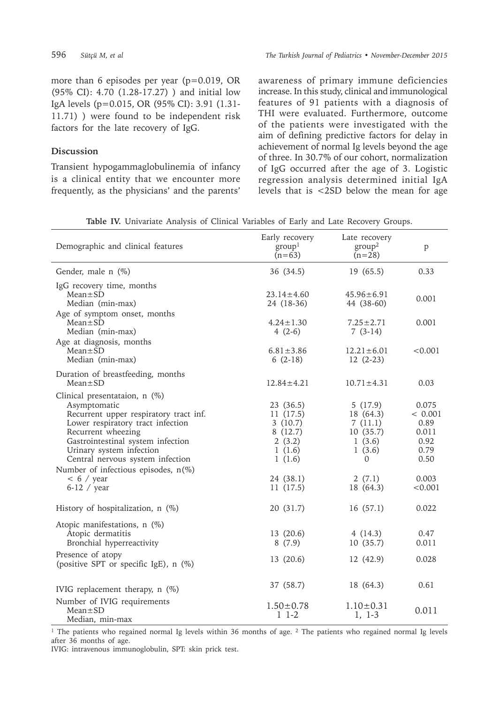more than 6 episodes per year (p=0.019, OR (95% CI): 4.70 (1.28-17.27) ) and initial low IgA levels (p=0.015, OR (95% CI): 3.91 (1.31- 11.71) ) were found to be independent risk factors for the late recovery of IgG.

#### **Discussion**

Transient hypogammaglobulinemia of infancy is a clinical entity that we encounter more frequently, as the physicians' and the parents' awareness of primary immune deficiencies increase. In this study, clinical and immunological features of 91 patients with a diagnosis of THI were evaluated. Furthermore, outcome of the patients were investigated with the aim of defining predictive factors for delay in achievement of normal Ig levels beyond the age of three. In 30.7% of our cohort, normalization of IgG occurred after the age of 3. Logistic regression analysis determined initial IgA levels that is <2SD below the mean for age

|  |  | <b>Table IV.</b> Univariate Analysis of Clinical Variables of Early and Late Recovery Groups. |  |  |  |  |  |  |  |  |  |  |
|--|--|-----------------------------------------------------------------------------------------------|--|--|--|--|--|--|--|--|--|--|
|--|--|-----------------------------------------------------------------------------------------------|--|--|--|--|--|--|--|--|--|--|

| Demographic and clinical features                                                                                                                                                                                                                                                                                                  | Early recovery<br>group <sup>1</sup><br>$(n=63)$                                                   | Late recovery<br>group <sup>2</sup><br>$(n=28)$                                             | p                                                                             |  |
|------------------------------------------------------------------------------------------------------------------------------------------------------------------------------------------------------------------------------------------------------------------------------------------------------------------------------------|----------------------------------------------------------------------------------------------------|---------------------------------------------------------------------------------------------|-------------------------------------------------------------------------------|--|
| Gender, male n (%)                                                                                                                                                                                                                                                                                                                 | 36 (34.5)                                                                                          | 19 (65.5)                                                                                   | 0.33                                                                          |  |
| IgG recovery time, months<br>$Mean \pm SD$<br>Median (min-max)<br>Age of symptom onset, months                                                                                                                                                                                                                                     | $23.14 \pm 4.60$<br>24 (18-36)                                                                     | $45.96 \pm 6.91$<br>44 (38-60)                                                              | 0.001                                                                         |  |
| $Mean \pm SD$<br>Median (min-max)<br>Age at diagnosis, months                                                                                                                                                                                                                                                                      | $4.24 \pm 1.30$<br>$4(2-6)$                                                                        | $7.25 \pm 2.71$<br>$7(3-14)$                                                                | 0.001                                                                         |  |
| $Mean \pm SD$<br>Median (min-max)                                                                                                                                                                                                                                                                                                  | $6.81 \pm 3.86$<br>$6(2-18)$                                                                       | $12.21 \pm 6.01$<br>$12(2-23)$                                                              | < 0.001                                                                       |  |
| Duration of breastfeeding, months<br>$Mean \pm SD$                                                                                                                                                                                                                                                                                 | $12.84 \pm 4.21$                                                                                   | $10.71 \pm 4.31$                                                                            | 0.03                                                                          |  |
| Clinical presentataion, n (%)<br>Asymptomatic<br>Recurrent upper respiratory tract inf.<br>Lower respiratory tract infection<br>Recurrent wheezing<br>Gastrointestinal system infection<br>Urinary system infection<br>Central nervous system infection<br>Number of infectious episodes, $n(\%)$<br>$< 6 /$ year<br>$6-12$ / year | 23 (36.5)<br>11(17.5)<br>3(10.7)<br>8(12.7)<br>2(3.2)<br>1(1.6)<br>1(1.6)<br>24 (38.1)<br>11(17.5) | 5(17.9)<br>18 (64.3)<br>7(11.1)<br>10(35.7)<br>1(3.6)<br>1(3.6)<br>0<br>2(7.1)<br>18 (64.3) | 0.075<br>< 0.001<br>0.89<br>0.011<br>0.92<br>0.79<br>0.50<br>0.003<br>< 0.001 |  |
| History of hospitalization, $n$ (%)                                                                                                                                                                                                                                                                                                | 20 (31.7)                                                                                          | 16(57.1)                                                                                    | 0.022                                                                         |  |
| Atopic manifestations, n (%)<br>Atopic dermatitis<br>Bronchial hyperreactivity<br>Presence of atopy<br>(positive SPT or specific IgE), n (%)                                                                                                                                                                                       | 13 (20.6)<br>8(7.9)<br>13 (20.6)                                                                   | 4(14.3)<br>10(35.7)<br>12 (42.9)                                                            | 0.47<br>0.011<br>0.028                                                        |  |
| IVIG replacement therapy, $n$ (%)                                                                                                                                                                                                                                                                                                  | 37 (58.7)                                                                                          | 18 (64.3)                                                                                   | 0.61                                                                          |  |
| Number of IVIG requirements<br>$Mean \pm SD$<br>Median, min-max                                                                                                                                                                                                                                                                    | $1.50 \pm 0.78$<br>$1\;1-2$                                                                        | $1.10 \pm 0.31$<br>1, 1-3                                                                   | 0.011                                                                         |  |

<sup>1</sup> The patients who regained normal Ig levels within 36 months of age.  $2$  The patients who regained normal Ig levels after 36 months of age.

IVIG: intravenous immunoglobulin, SPT: skin prick test.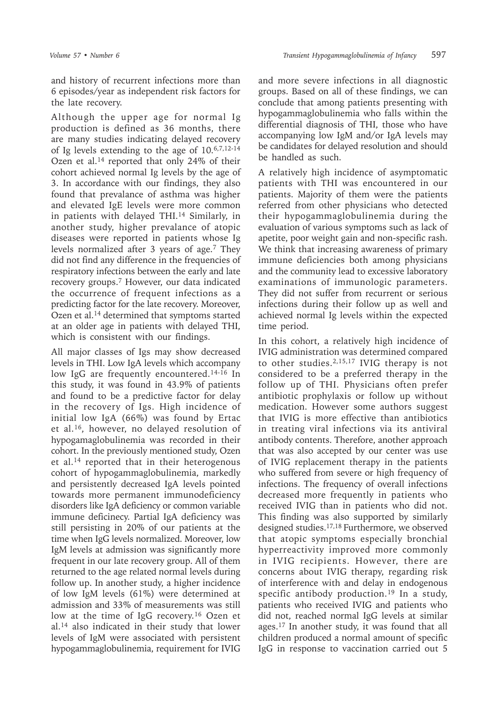and history of recurrent infections more than 6 episodes/year as independent risk factors for the late recovery.

Although the upper age for normal Ig production is defined as 36 months, there are many studies indicating delayed recovery of Ig levels extending to the age of 10.6,7,12-14 Ozen et al.14 reported that only 24% of their cohort achieved normal Ig levels by the age of 3. In accordance with our findings, they also found that prevalance of asthma was higher and elevated IgE levels were more common in patients with delayed THI.<sup>14</sup> Similarly, in another study, higher prevalance of atopic diseases were reported in patients whose Ig levels normalized after 3 years of age.7 They did not find any difference in the frequencies of respiratory infections between the early and late recovery groups.7 However, our data indicated the occurrence of frequent infections as a predicting factor for the late recovery. Moreover, Ozen et al.<sup>14</sup> determined that symptoms started at an older age in patients with delayed THI, which is consistent with our findings.

All major classes of Igs may show decreased levels in THI. Low IgA levels which accompany low IgG are frequently encountered.<sup>14-16</sup> In this study, it was found in 43.9% of patients and found to be a predictive factor for delay in the recovery of Igs. High incidence of initial low IgA (66%) was found by Ertac et al.16, however, no delayed resolution of hypogamaglobulinemia was recorded in their cohort. In the previously mentioned study, Ozen et al.14 reported that in their heterogenous cohort of hypogammaglobulinemia, markedly and persistently decreased IgA levels pointed towards more permanent immunodeficiency disorders like IgA deficiency or common variable immune deficinecy. Partial IgA deficiency was still persisting in 20% of our patients at the time when IgG levels normalized. Moreover, low IgM levels at admission was significantly more frequent in our late recovery group. All of them returned to the age related normal levels during follow up. In another study, a higher incidence of low IgM levels (61%) were determined at admission and 33% of measurements was still low at the time of IgG recovery.<sup>16</sup> Ozen et al.14 also indicated in their study that lower levels of IgM were associated with persistent hypogammaglobulinemia, requirement for IVIG

and more severe infections in all diagnostic groups. Based on all of these findings, we can conclude that among patients presenting with hypogammaglobulinemia who falls within the differential diagnosis of THI, those who have accompanying low IgM and/or IgA levels may be candidates for delayed resolution and should be handled as such.

A relatively high incidence of asymptomatic patients with THI was encountered in our patients. Majority of them were the patients referred from other physicians who detected their hypogammaglobulinemia during the evaluation of various symptoms such as lack of apetite, poor weight gain and non-specific rash. We think that increasing awareness of primary immune deficiencies both among physicians and the community lead to excessive laboratory examinations of immunologic parameters. They did not suffer from recurrent or serious infections during their follow up as well and achieved normal Ig levels within the expected time period.

In this cohort, a relatively high incidence of IVIG administration was determined compared to other studies.2,15,17 IVIG therapy is not considered to be a preferred therapy in the follow up of THI. Physicians often prefer antibiotic prophylaxis or follow up without medication. However some authors suggest that IVIG is more effective than antibiotics in treating viral infections via its antiviral antibody contents. Therefore, another approach that was also accepted by our center was use of IVIG replacement therapy in the patients who suffered from severe or high frequency of infections. The frequency of overall infections decreased more frequently in patients who received IVIG than in patients who did not. This finding was also supported by similarly designed studies.17,18 Furthermore, we observed that atopic symptoms especially bronchial hyperreactivity improved more commonly in IVIG recipients. However, there are concerns about IVIG therapy, regarding risk of interference with and delay in endogenous specific antibody production.19 In a study, patients who received IVIG and patients who did not, reached normal IgG levels at similar ages.17 In another study, it was found that all children produced a normal amount of specific IgG in response to vaccination carried out 5